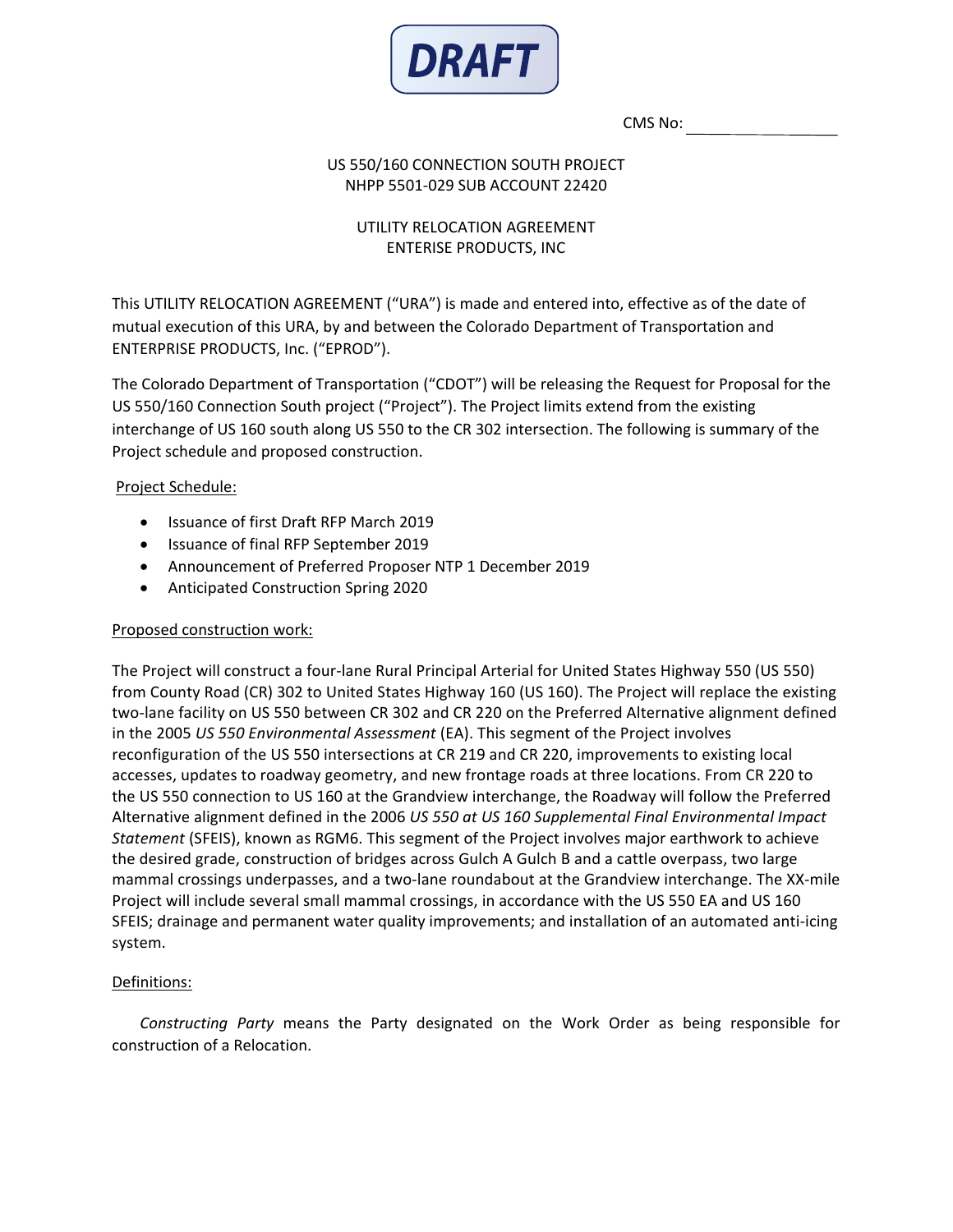

CMS No:

### US 550/160 CONNECTION SOUTH PROJECT NHPP 5501-029 SUB ACCOUNT 22420

# UTILITY RELOCATION AGREEMENT ENTERISE PRODUCTS, INC

This UTILITY RELOCATION AGREEMENT ("URA") is made and entered into, effective as of the date of mutual execution of this URA, by and between the Colorado Department of Transportation and ENTERPRISE PRODUCTS, Inc. ("EPROD").

The Colorado Department of Transportation ("CDOT") will be releasing the Request for Proposal for the US 550/160 Connection South project ("Project"). The Project limits extend from the existing interchange of US 160 south along US 550 to the CR 302 intersection. The following is summary of the Project schedule and proposed construction.

# Project Schedule:

- Issuance of first Draft RFP March 2019
- Issuance of final RFP September 2019
- Announcement of Preferred Proposer NTP 1 December 2019
- Anticipated Construction Spring 2020

### Proposed construction work:

The Project will construct a four-lane Rural Principal Arterial for United States Highway 550 (US 550) from County Road (CR) 302 to United States Highway 160 (US 160). The Project will replace the existing two-lane facility on US 550 between CR 302 and CR 220 on the Preferred Alternative alignment defined in the 2005 *US 550 Environmental Assessment* (EA). This segment of the Project involves reconfiguration of the US 550 intersections at CR 219 and CR 220, improvements to existing local accesses, updates to roadway geometry, and new frontage roads at three locations. From CR 220 to the US 550 connection to US 160 at the Grandview interchange, the Roadway will follow the Preferred Alternative alignment defined in the 2006 *US 550 at US 160 Supplemental Final Environmental Impact Statement* (SFEIS), known as RGM6. This segment of the Project involves major earthwork to achieve the desired grade, construction of bridges across Gulch A Gulch B and a cattle overpass, two large mammal crossings underpasses, and a two-lane roundabout at the Grandview interchange. The XX-mile Project will include several small mammal crossings, in accordance with the US 550 EA and US 160 SFEIS; drainage and permanent water quality improvements; and installation of an automated anti-icing system.

# Definitions:

*Constructing Party* means the Party designated on the Work Order as being responsible for construction of a Relocation.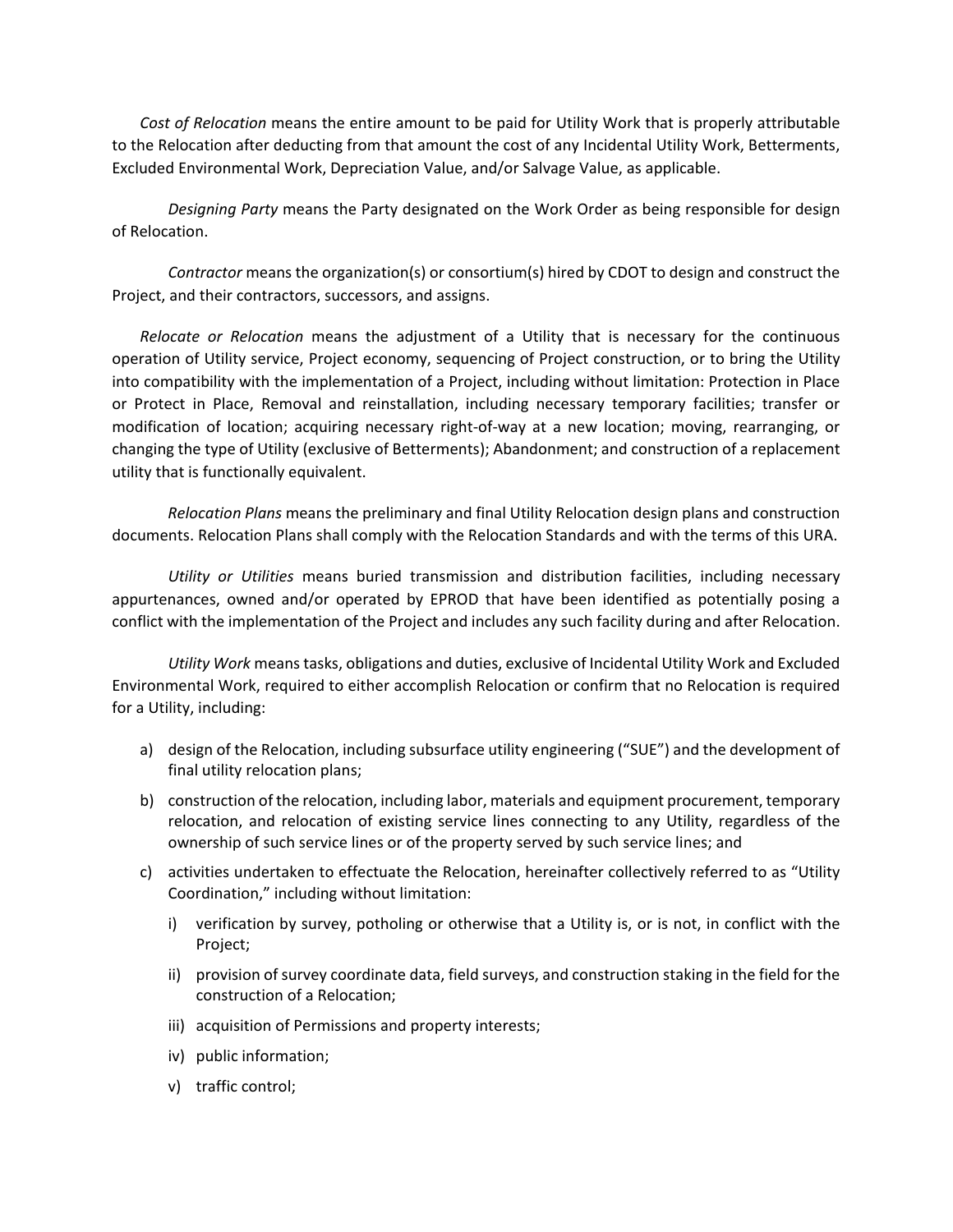*Cost of Relocation* means the entire amount to be paid for Utility Work that is properly attributable to the Relocation after deducting from that amount the cost of any Incidental Utility Work, Betterments, Excluded Environmental Work, Depreciation Value, and/or Salvage Value, as applicable.

*Designing Party* means the Party designated on the Work Order as being responsible for design of Relocation.

*Contractor* means the organization(s) or consortium(s) hired by CDOT to design and construct the Project, and their contractors, successors, and assigns.

*Relocate or Relocation* means the adjustment of a Utility that is necessary for the continuous operation of Utility service, Project economy, sequencing of Project construction, or to bring the Utility into compatibility with the implementation of a Project, including without limitation: Protection in Place or Protect in Place, Removal and reinstallation, including necessary temporary facilities; transfer or modification of location; acquiring necessary right-of-way at a new location; moving, rearranging, or changing the type of Utility (exclusive of Betterments); Abandonment; and construction of a replacement utility that is functionally equivalent.

*Relocation Plans* means the preliminary and final Utility Relocation design plans and construction documents. Relocation Plans shall comply with the Relocation Standards and with the terms of this URA.

*Utility or Utilities* means buried transmission and distribution facilities, including necessary appurtenances, owned and/or operated by EPROD that have been identified as potentially posing a conflict with the implementation of the Project and includes any such facility during and after Relocation.

*Utility Work* means tasks, obligations and duties, exclusive of Incidental Utility Work and Excluded Environmental Work, required to either accomplish Relocation or confirm that no Relocation is required for a Utility, including:

- a) design of the Relocation, including subsurface utility engineering ("SUE") and the development of final utility relocation plans;
- b) construction of the relocation, including labor, materials and equipment procurement, temporary relocation, and relocation of existing service lines connecting to any Utility, regardless of the ownership of such service lines or of the property served by such service lines; and
- c) activities undertaken to effectuate the Relocation, hereinafter collectively referred to as "Utility Coordination," including without limitation:
	- i) verification by survey, potholing or otherwise that a Utility is, or is not, in conflict with the Project;
	- ii) provision of survey coordinate data, field surveys, and construction staking in the field for the construction of a Relocation;
	- iii) acquisition of Permissions and property interests;
	- iv) public information;
	- v) traffic control;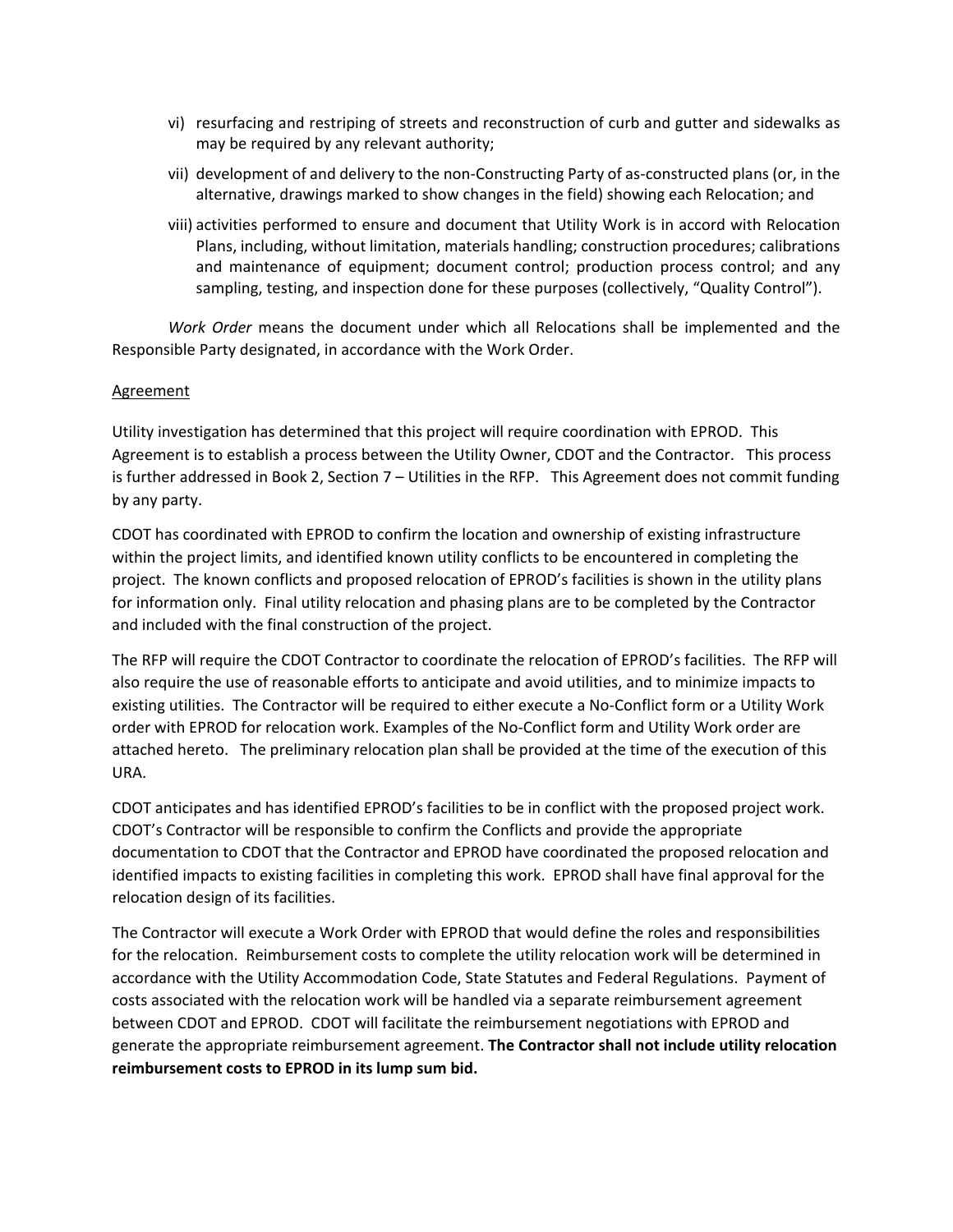- vi) resurfacing and restriping of streets and reconstruction of curb and gutter and sidewalks as may be required by any relevant authority;
- vii) development of and delivery to the non-Constructing Party of as-constructed plans (or, in the alternative, drawings marked to show changes in the field) showing each Relocation; and
- viii) activities performed to ensure and document that Utility Work is in accord with Relocation Plans, including, without limitation, materials handling; construction procedures; calibrations and maintenance of equipment; document control; production process control; and any sampling, testing, and inspection done for these purposes (collectively, "Quality Control").

*Work Order* means the document under which all Relocations shall be implemented and the Responsible Party designated, in accordance with the Work Order.

### **Agreement**

Utility investigation has determined that this project will require coordination with EPROD. This Agreement is to establish a process between the Utility Owner, CDOT and the Contractor. This process is further addressed in Book 2, Section 7 – Utilities in the RFP. This Agreement does not commit funding by any party.

CDOT has coordinated with EPROD to confirm the location and ownership of existing infrastructure within the project limits, and identified known utility conflicts to be encountered in completing the project. The known conflicts and proposed relocation of EPROD's facilities is shown in the utility plans for information only. Final utility relocation and phasing plans are to be completed by the Contractor and included with the final construction of the project.

The RFP will require the CDOT Contractor to coordinate the relocation of EPROD's facilities. The RFP will also require the use of reasonable efforts to anticipate and avoid utilities, and to minimize impacts to existing utilities. The Contractor will be required to either execute a No-Conflict form or a Utility Work order with EPROD for relocation work. Examples of the No-Conflict form and Utility Work order are attached hereto. The preliminary relocation plan shall be provided at the time of the execution of this URA.

CDOT anticipates and has identified EPROD's facilities to be in conflict with the proposed project work. CDOT's Contractor will be responsible to confirm the Conflicts and provide the appropriate documentation to CDOT that the Contractor and EPROD have coordinated the proposed relocation and identified impacts to existing facilities in completing this work. EPROD shall have final approval for the relocation design of its facilities.

The Contractor will execute a Work Order with EPROD that would define the roles and responsibilities for the relocation. Reimbursement costs to complete the utility relocation work will be determined in accordance with the Utility Accommodation Code, State Statutes and Federal Regulations. Payment of costs associated with the relocation work will be handled via a separate reimbursement agreement between CDOT and EPROD. CDOT will facilitate the reimbursement negotiations with EPROD and generate the appropriate reimbursement agreement. **The Contractor shall not include utility relocation reimbursement costs to EPROD in its lump sum bid.**